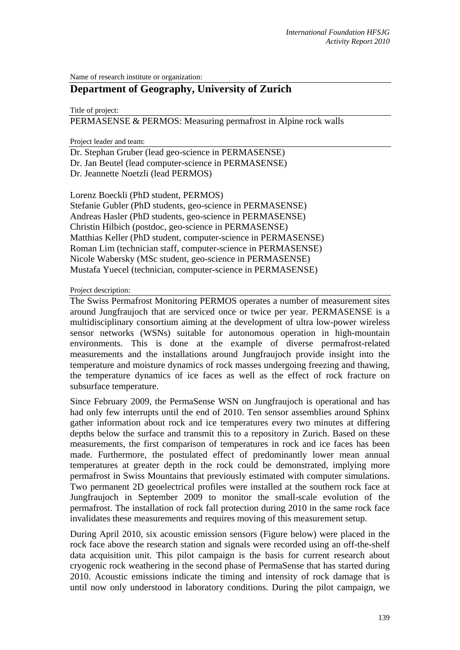Name of research institute or organization:

# **Department of Geography, University of Zurich**

Title of project:

PERMASENSE & PERMOS: Measuring permafrost in Alpine rock walls

Project leader and team:

Dr. Stephan Gruber (lead geo-science in PERMASENSE) Dr. Jan Beutel (lead computer-science in PERMASENSE) Dr. Jeannette Noetzli (lead PERMOS)

Lorenz Boeckli (PhD student, PERMOS) Stefanie Gubler (PhD students, geo-science in PERMASENSE) Andreas Hasler (PhD students, geo-science in PERMASENSE) Christin Hilbich (postdoc, geo-science in PERMASENSE) Matthias Keller (PhD student, computer-science in PERMASENSE) Roman Lim (technician staff, computer-science in PERMASENSE) Nicole Wabersky (MSc student, geo-science in PERMASENSE) Mustafa Yuecel (technician, computer-science in PERMASENSE)

#### Project description:

The Swiss Permafrost Monitoring PERMOS operates a number of measurement sites around Jungfraujoch that are serviced once or twice per year. PERMASENSE is a multidisciplinary consortium aiming at the development of ultra low-power wireless sensor networks (WSNs) suitable for autonomous operation in high-mountain environments. This is done at the example of diverse permafrost-related measurements and the installations around Jungfraujoch provide insight into the temperature and moisture dynamics of rock masses undergoing freezing and thawing, the temperature dynamics of ice faces as well as the effect of rock fracture on subsurface temperature.

Since February 2009, the PermaSense WSN on Jungfraujoch is operational and has had only few interrupts until the end of 2010. Ten sensor assemblies around Sphinx gather information about rock and ice temperatures every two minutes at differing depths below the surface and transmit this to a repository in Zurich. Based on these measurements, the first comparison of temperatures in rock and ice faces has been made. Furthermore, the postulated effect of predominantly lower mean annual temperatures at greater depth in the rock could be demonstrated, implying more permafrost in Swiss Mountains that previously estimated with computer simulations. Two permanent 2D geoelectrical profiles were installed at the southern rock face at Jungfraujoch in September 2009 to monitor the small-scale evolution of the permafrost. The installation of rock fall protection during 2010 in the same rock face invalidates these measurements and requires moving of this measurement setup.

During April 2010, six acoustic emission sensors (Figure below) were placed in the rock face above the research station and signals were recorded using an off-the-shelf data acquisition unit. This pilot campaign is the basis for current research about cryogenic rock weathering in the second phase of PermaSense that has started during 2010. Acoustic emissions indicate the timing and intensity of rock damage that is until now only understood in laboratory conditions. During the pilot campaign, we